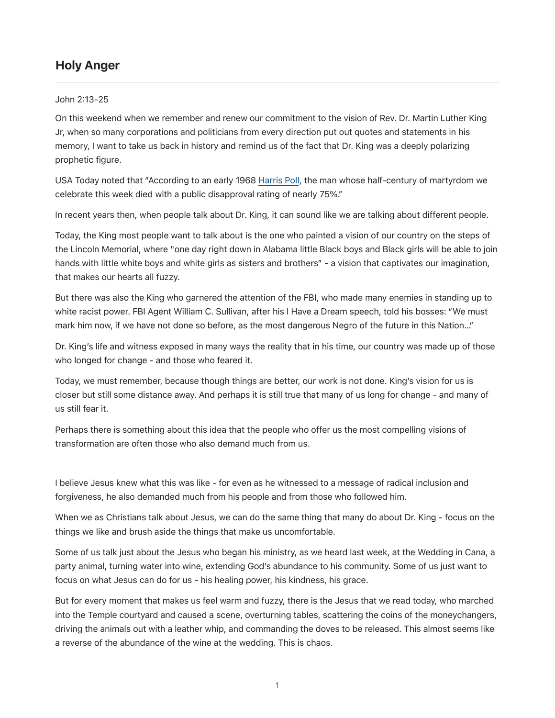# Holy Anger

#### John 2:13-25

On this weekend when we remember and renew our commitment to the vision of Rev. Dr. Martin Luther King Jr, when so many corporations and politicians from every direction put out quotes and statements in his memory, I want to take us back in history and remind us of the fact that Dr. King was a deeply polarizing prophetic figure.

USA Today noted that "According to an early 1968 [Harris Poll,](http://time.com/5042070/donald-trump-martin-luther-king-mlk/) the man whose half-century of martyrdom we celebrate this week died with a public disapproval rating of nearly 75%."

In recent years then, when people talk about Dr. King, it can sound like we are talking about different people.

Today, the King most people want to talk about is the one who painted a vision of our country on the steps of the Lincoln Memorial, where "one day right down in Alabama little Black boys and Black girls will be able to join hands with little white boys and white girls as sisters and brothers" - a vision that captivates our imagination, that makes our hearts all fuzzy.

But there was also the King who garnered the attention of the FBI, who made many enemies in standing up to white racist power. FBI Agent William C. Sullivan, after his I Have a Dream speech, told his bosses: "We must mark him now, if we have not done so before, as the most dangerous Negro of the future in this Nation…"

Dr. King's life and witness exposed in many ways the reality that in his time, our country was made up of those who longed for change - and those who feared it.

Today, we must remember, because though things are better, our work is not done. King's vision for us is closer but still some distance away. And perhaps it is still true that many of us long for change - and many of us still fear it.

Perhaps there is something about this idea that the people who offer us the most compelling visions of transformation are often those who also demand much from us.

I believe Jesus knew what this was like - for even as he witnessed to a message of radical inclusion and forgiveness, he also demanded much from his people and from those who followed him.

When we as Christians talk about Jesus, we can do the same thing that many do about Dr. King - focus on the things we like and brush aside the things that make us uncomfortable.

Some of us talk just about the Jesus who began his ministry, as we heard last week, at the Wedding in Cana, a party animal, turning water into wine, extending God's abundance to his community. Some of us just want to focus on what Jesus can do for us - his healing power, his kindness, his grace.

But for every moment that makes us feel warm and fuzzy, there is the Jesus that we read today, who marched into the Temple courtyard and caused a scene, overturning tables, scattering the coins of the moneychangers, driving the animals out with a leather whip, and commanding the doves to be released. This almost seems like a reverse of the abundance of the wine at the wedding. This is chaos.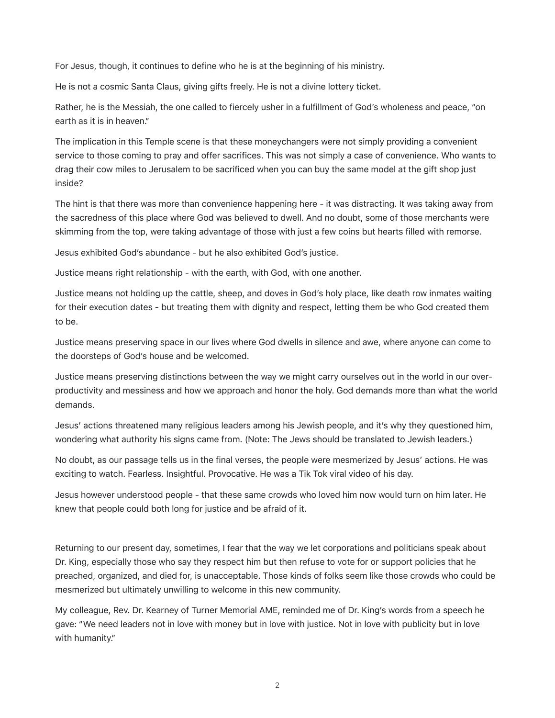For Jesus, though, it continues to define who he is at the beginning of his ministry.

He is not a cosmic Santa Claus, giving gifts freely. He is not a divine lottery ticket.

Rather, he is the Messiah, the one called to fiercely usher in a fulfillment of God's wholeness and peace, "on earth as it is in heaven."

The implication in this Temple scene is that these moneychangers were not simply providing a convenient service to those coming to pray and offer sacrifices. This was not simply a case of convenience. Who wants to drag their cow miles to Jerusalem to be sacrificed when you can buy the same model at the gift shop just inside?

The hint is that there was more than convenience happening here - it was distracting. It was taking away from the sacredness of this place where God was believed to dwell. And no doubt, some of those merchants were skimming from the top, were taking advantage of those with just a few coins but hearts filled with remorse.

Jesus exhibited God's abundance - but he also exhibited God's justice.

Justice means right relationship - with the earth, with God, with one another.

Justice means not holding up the cattle, sheep, and doves in God's holy place, like death row inmates waiting for their execution dates - but treating them with dignity and respect, letting them be who God created them to be.

Justice means preserving space in our lives where God dwells in silence and awe, where anyone can come to the doorsteps of God's house and be welcomed.

Justice means preserving distinctions between the way we might carry ourselves out in the world in our overproductivity and messiness and how we approach and honor the holy. God demands more than what the world demands.

Jesus' actions threatened many religious leaders among his Jewish people, and it's why they questioned him, wondering what authority his signs came from. (Note: The Jews should be translated to Jewish leaders.)

No doubt, as our passage tells us in the final verses, the people were mesmerized by Jesus' actions. He was exciting to watch. Fearless. Insightful. Provocative. He was a Tik Tok viral video of his day.

Jesus however understood people - that these same crowds who loved him now would turn on him later. He knew that people could both long for justice and be afraid of it.

Returning to our present day, sometimes, I fear that the way we let corporations and politicians speak about Dr. King, especially those who say they respect him but then refuse to vote for or support policies that he preached, organized, and died for, is unacceptable. Those kinds of folks seem like those crowds who could be mesmerized but ultimately unwilling to welcome in this new community.

My colleague, Rev. Dr. Kearney of Turner Memorial AME, reminded me of Dr. King's words from a speech he gave: "We need leaders not in love with money but in love with justice. Not in love with publicity but in love with humanity."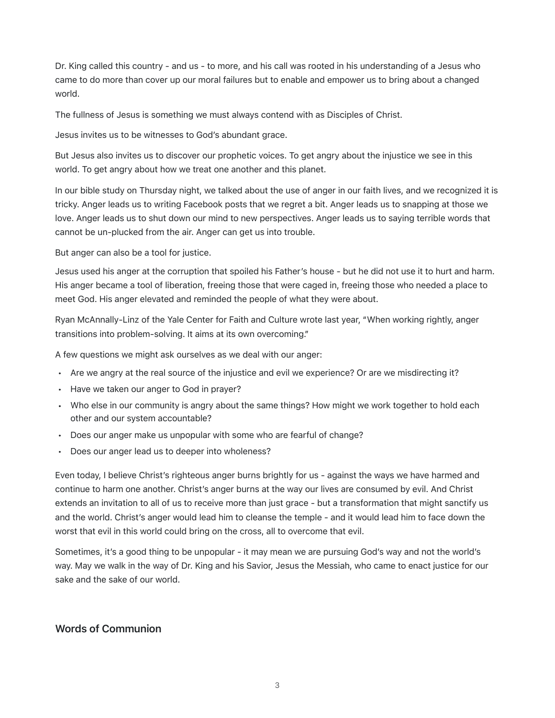Dr. King called this country - and us - to more, and his call was rooted in his understanding of a Jesus who came to do more than cover up our moral failures but to enable and empower us to bring about a changed world.

The fullness of Jesus is something we must always contend with as Disciples of Christ.

Jesus invites us to be witnesses to God's abundant grace.

But Jesus also invites us to discover our prophetic voices. To get angry about the injustice we see in this world. To get angry about how we treat one another and this planet.

In our bible study on Thursday night, we talked about the use of anger in our faith lives, and we recognized it is tricky. Anger leads us to writing Facebook posts that we regret a bit. Anger leads us to snapping at those we love. Anger leads us to shut down our mind to new perspectives. Anger leads us to saying terrible words that cannot be un-plucked from the air. Anger can get us into trouble.

But anger can also be a tool for justice.

Jesus used his anger at the corruption that spoiled his Father's house - but he did not use it to hurt and harm. His anger became a tool of liberation, freeing those that were caged in, freeing those who needed a place to meet God. His anger elevated and reminded the people of what they were about.

Ryan McAnnally-Linz of the Yale Center for Faith and Culture wrote last year, "When working rightly, anger transitions into problem-solving. It aims at its own overcoming."

A few questions we might ask ourselves as we deal with our anger:

- Are we angry at the real source of the injustice and evil we experience? Or are we misdirecting it?
- Have we taken our anger to God in prayer?
- Who else in our community is angry about the same things? How might we work together to hold each other and our system accountable?
- Does our anger make us unpopular with some who are fearful of change?
- Does our anger lead us to deeper into wholeness?

Even today, I believe Christ's righteous anger burns brightly for us - against the ways we have harmed and continue to harm one another. Christ's anger burns at the way our lives are consumed by evil. And Christ extends an invitation to all of us to receive more than just grace - but a transformation that might sanctify us and the world. Christ's anger would lead him to cleanse the temple - and it would lead him to face down the worst that evil in this world could bring on the cross, all to overcome that evil.

Sometimes, it's a good thing to be unpopular - it may mean we are pursuing God's way and not the world's way. May we walk in the way of Dr. King and his Savior, Jesus the Messiah, who came to enact justice for our sake and the sake of our world.

### Words of Communion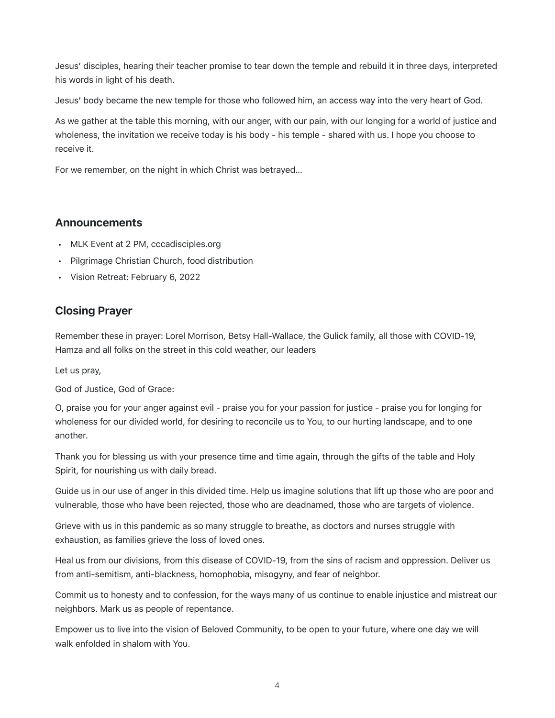Jesus' disciples, hearing their teacher promise to tear down the temple and rebuild it in three days, interpreted his words in light of his death.

Jesus' body became the new temple for those who followed him, an access way into the very heart of God.

As we gather at the table this morning, with our anger, with our pain, with our longing for a world of justice and wholeness, the invitation we receive today is his body - his temple - shared with us. I hope you choose to receive it.

For we remember, on the night in which Christ was betrayed…

#### Announcements

- MLK Event at 2 PM, cccadisciples.org
- Pilgrimage Christian Church, food distribution
- Vision Retreat: February 6, 2022

## Closing Prayer

Remember these in prayer: Lorel Morrison, Betsy Hall-Wallace, the Gulick family, all those with COVID-19, Hamza and all folks on the street in this cold weather, our leaders

Let us pray,

God of Justice, God of Grace:

O, praise you for your anger against evil - praise you for your passion for justice - praise you for longing for wholeness for our divided world, for desiring to reconcile us to You, to our hurting landscape, and to one another.

Thank you for blessing us with your presence time and time again, through the gifts of the table and Holy Spirit, for nourishing us with daily bread.

Guide us in our use of anger in this divided time. Help us imagine solutions that lift up those who are poor and vulnerable, those who have been rejected, those who are deadnamed, those who are targets of violence.

Grieve with us in this pandemic as so many struggle to breathe, as doctors and nurses struggle with exhaustion, as families grieve the loss of loved ones.

Heal us from our divisions, from this disease of COVID-19, from the sins of racism and oppression. Deliver us from anti-semitism, anti-blackness, homophobia, misogyny, and fear of neighbor.

Commit us to honesty and to confession, for the ways many of us continue to enable injustice and mistreat our neighbors. Mark us as people of repentance.

Empower us to live into the vision of Beloved Community, to be open to your future, where one day we will walk enfolded in shalom with You.